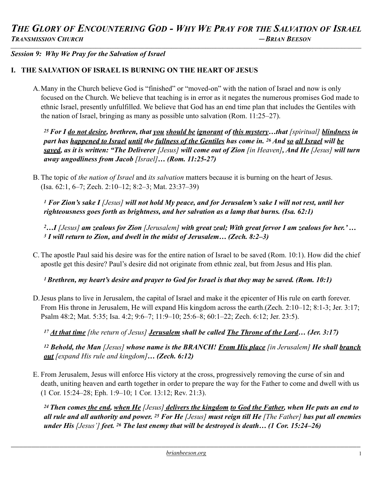*Session 9: Why We Pray for the Salvation of Israel* 

# **I. THE SALVATION OF ISRAEL IS BURNING ON THE HEART OF JESUS**

A.Many in the Church believe God is "finished" or "moved-on" with the nation of Israel and now is only focused on the Church. We believe that teaching is in error as it negates the numerous promises God made to ethnic Israel, presently unfulfilled. We believe that God has an end time plan that includes the Gentiles with the nation of Israel, bringing as many as possible unto salvation (Rom. 11:25–27).

*25 For I do not desire, brethren, that you should be ignorant of this mystery…that [spiritual] blindness in part has happened to Israel until the fullness of the Gentiles has come in. 26 And so all Israel will be saved, as it is written: "The Deliverer [Jesus] will come out of Zion [in Heaven], And He [Jesus] will turn away ungodliness from Jacob [Israel]… (Rom. 11:25-27)* 

B. The topic of *the nation of Israel* and *its salvation* matters because it is burning on the heart of Jesus. (Isa. 62:1, 6–7; Zech. 2:10–12; 8:2–3; Mat. 23:37–39)

*1 For Zion's sake I [Jesus] will not hold My peace, and for Jerusalem's sake I will not rest, until her righteousness goes forth as brightness, and her salvation as a lamp that burns. (Isa. 62:1)* 

*2…I [Jesus] am zealous for Zion [Jerusalem] with great zeal; With great fervor I am zealous for her.' … 3 I will return to Zion, and dwell in the midst of Jerusalem… (Zech. 8:2–3)* 

C. The apostle Paul said his desire was for the entire nation of Israel to be saved (Rom. 10:1). How did the chief apostle get this desire? Paul's desire did not originate from ethnic zeal, but from Jesus and His plan.

*1 Brethren, my heart's desire and prayer to God for Israel is that they may be saved. (Rom. 10:1)* 

D.Jesus plans to live in Jerusalem, the capital of Israel and make it the epicenter of His rule on earth forever. From His throne in Jerusalem, He will expand His kingdom across the earth.(Zech. 2:10–12; 8:1-3; Jer. 3:17; Psalm 48:2; Mat. 5:35; Isa. 4:2; 9:6–7; 11:9–10; 25:6–8; 60:1–22; Zech. 6:12; Jer. 23:5).

*<sup>17</sup> At that time [the return of Jesus] Jerusalem shall be called The Throne of the Lord… (Jer. 3:17)* 

*12 Behold, the Man [Jesus] whose name is the BRANCH! From His place [in Jerusalem] He shall branch out [expand His rule and kingdom]… (Zech. 6:12)* 

E. From Jerusalem, Jesus will enforce His victory at the cross, progressively removing the curse of sin and death, uniting heaven and earth together in order to prepare the way for the Father to come and dwell with us (1 Cor. 15:24–28; Eph. 1:9–10; 1 Cor. 13:12; Rev. 21:3).

*24 Then comes the end, when He [Jesus] delivers the kingdom to God the Father, when He puts an end to all rule and all authority and power. 25 For He [Jesus] must reign till He [The Father] has put all enemies under His [Jesus'] feet. 26 The last enemy that will be destroyed is death… (1 Cor. 15:24–26)*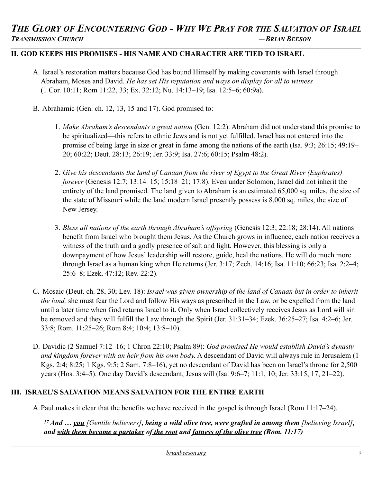### **II. GOD KEEPS HIS PROMISES - HIS NAME AND CHARACTER ARE TIED TO ISRAEL**

- A. Israel's restoration matters because God has bound Himself by making covenants with Israel through Abraham, Moses and David. *He has set His reputation and ways on display for all to witness* (1 Cor. 10:11; Rom 11:22, 33; Ex. 32:12; Nu. 14:13–19; Isa. 12:5–6; 60:9a).
- B. Abrahamic (Gen. ch. 12, 13, 15 and 17). God promised to:
	- 1. *Make Abraham's descendants a great nation* (Gen. 12:2). Abraham did not understand this promise to be spiritualized—this refers to ethnic Jews and is not yet fulfilled. Israel has not entered into the promise of being large in size or great in fame among the nations of the earth (Isa. 9:3; 26:15; 49:19– 20; 60:22; Deut. 28:13; 26:19; Jer. 33:9; Isa. 27:6; 60:15; Psalm 48:2).
	- 2. *Give his descendants the land of Canaan from the river of Egypt to the Great River (Euphrates) forever* (Genesis 12:7; 13:14–15; 15:18–21; 17:8). Even under Solomon, Israel did not inherit the entirety of the land promised. The land given to Abraham is an estimated 65,000 sq. miles, the size of the state of Missouri while the land modern Israel presently possess is 8,000 sq. miles, the size of New Jersey.
	- 3. *Bless all nations of the earth through Abraham's offspring* (Genesis 12:3; 22:18; 28:14). All nations benefit from Israel who brought them Jesus. As the Church grows in influence, each nation receives a witness of the truth and a godly presence of salt and light. However, this blessing is only a downpayment of how Jesus' leadership will restore, guide, heal the nations. He will do much more through Israel as a human king when He returns (Jer. 3:17; Zech. 14:16; Isa. 11:10; 66:23; Isa. 2:2–4; 25:6–8; Ezek. 47:12; Rev. 22:2).
- C. Mosaic (Deut. ch. 28, 30; Lev. 18): *Israel was given ownership of the land of Canaan but in order to inherit the land,* she must fear the Lord and follow His ways as prescribed in the Law, or be expelled from the land until a later time when God returns Israel to it. Only when Israel collectively receives Jesus as Lord will sin be removed and they will fulfill the Law through the Spirit (Jer. 31:31–34; Ezek. 36:25–27; Isa. 4:2–6; Jer. 33:8; Rom. 11:25–26; Rom 8:4; 10:4; 13:8–10).
- D. Davidic (2 Samuel 7:12–16; 1 Chron 22:10; Psalm 89): *God promised He would establish David's dynasty and kingdom forever with an heir from his own body.* A descendant of David will always rule in Jerusalem (1 Kgs. 2:4; 8:25; 1 Kgs. 9:5; 2 Sam. 7:8–16), yet no descendant of David has been on Israel's throne for 2,500 years (Hos. 3:4–5). One day David's descendant, Jesus will (Isa. 9:6–7; 11:1, 10; Jer. 33:15, 17, 21–22).

# **III. ISRAEL'S SALVATION MEANS SALVATION FOR THE ENTIRE EARTH**

A.Paul makes it clear that the benefits we have received in the gospel is through Israel (Rom 11:17–24).

*17 And … you [Gentile believers], being a wild olive tree, were grafted in among them [believing Israel], and with them became a partaker of the root and fatness of the olive tree (Rom. 11:17)*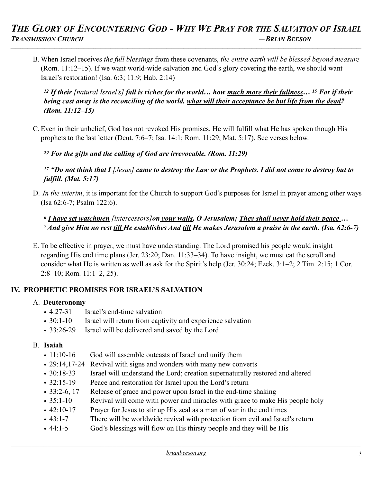B. When Israel receives *the full blessings* from these covenants, *the entire earth will be blessed beyond measure*  (Rom. 11:12–15). If we want world-wide salvation and God's glory covering the earth, we should want Israel's restoration! (Isa. 6:3; 11:9; Hab. 2:14)

*12 If their [natural Israel's] fall is riches for the world… how much more their fullness… 15 For if their being cast away is the reconciling of the world, what will their acceptance be but life from the dead? (Rom. 11:12–15)* 

C. Even in their unbelief, God has not revoked His promises. He will fulfill what He has spoken though His prophets to the last letter (Deut. 7:6–7; Isa. 14:1; Rom. 11:29; Mat. 5:17). See verses below.

*<sup>29</sup> For the gifts and the calling of God are irrevocable. (Rom. 11:29)* 

*<sup>17</sup> "Do not think that I [Jesus] came to destroy the Law or the Prophets. I did not come to destroy but to fulfill. (Mat. 5:17)* 

D. *In the interim*, it is important for the Church to support God's purposes for Israel in prayer among other ways (Isa 62:6-7; Psalm 122:6).

# *<sup>6</sup> I have set watchmen [intercessors]on your walls, O Jerusalem; They shall never hold their peace … 7 And give Him no rest till He establishes And till He makes Jerusalem a praise in the earth. (Isa. 62:6-7)*

E. To be effective in prayer, we must have understanding. The Lord promised his people would insight regarding His end time plans (Jer. 23:20; Dan. 11:33–34). To have insight, we must eat the scroll and consider what He is written as well as ask for the Spirit's help (Jer. 30:24; Ezek. 3:1–2; 2 Tim. 2:15; 1 Cor. 2:8–10; Rom. 11:1–2, 25).

# **IV. PROPHETIC PROMISES FOR ISRAEL'S SALVATION**

# A. **Deuteronomy**

- 4:27-31 Israel's end-time salvation
- 30:1-10 Israel will return from captivity and experience salvation
- 33:26-29 Israel will be delivered and saved by the Lord

#### B. **Isaiah**

- 11:10-16 God will assemble outcasts of Israel and unify them
- 29:14,17-24 Revival with signs and wonders with many new converts
- 30:18-33 Israel will understand the Lord; creation supernaturally restored and altered
- 32:15-19 Peace and restoration for Israel upon the Lord's return
- 33:2-6, 17 Release of grace and power upon Israel in the end-time shaking
- 35:1-10 Revival will come with power and miracles with grace to make His people holy
- 42:10-17 Prayer for Jesus to stir up His zeal as a man of war in the end times
- 43:1-7 There will be worldwide revival with protection from evil and Israel's return
- 44:1-5 God's blessings will flow on His thirsty people and they will be His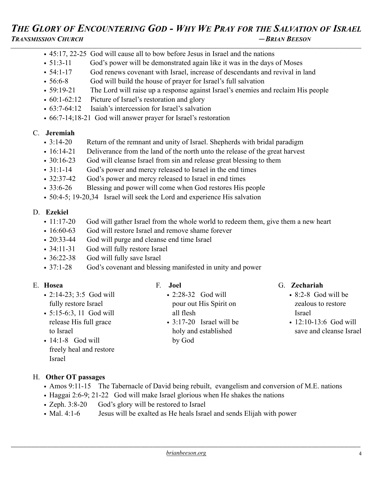- 45:17, 22-25 God will cause all to bow before Jesus in Israel and the nations
- 51:3-11 God's power will be demonstrated again like it was in the days of Moses
- 54:1-17 God renews covenant with Israel, increase of descendants and revival in land
- 56:6-8 God will build the house of prayer for Israel's full salvation
- 59:19-21 The Lord will raise up a response against Israel's enemies and reclaim His people
- 60:1-62:12 Picture of Israel's restoration and glory
- 63:7-64:12 Isaiah's intercession for Israel's salvation
- 66:7-14;18-21 God will answer prayer for Israel's restoration

### C. **Jeremiah**

- 3:14-20 Return of the remnant and unity of Israel. Shepherds with bridal paradigm
- 16:14-21 Deliverance from the land of the north unto the release of the great harvest
- 30:16-23 God will cleanse Israel from sin and release great blessing to them
- 31:1-14 God's power and mercy released to Israel in the end times
- 32:37-42 God's power and mercy released to Israel in end times
- 33:6-26 Blessing and power will come when God restores His people
- 50:4-5; 19-20,34 Israel will seek the Lord and experience His salvation

### D. **Ezekiel**

- 11:17-20 God will gather Israel from the whole world to redeem them, give them a new heart
- 16:60-63 God will restore Israel and remove shame forever
- 20:33-44 God will purge and cleanse end time Israel
- 34:11-31 God will fully restore Israel
- 36:22-38 God will fully save Israel
- 37:1-28 God's covenant and blessing manifested in unity and power

# E. **Hosea**

- 2:14-23; 3:5 God will fully restore Israel
- 5:15-6:3, 11 God will release His full grace to Israel
- $\cdot$  14:1-8 God will freely heal and restore Israel

# F. **Joel**

- 2:28-32 God will pour out His Spirit on all flesh
- 3:17-20 Israel will be holy and established by God

# G. **Zechariah**

- 8:2-8 God will be zealous to restore Israel
- 12:10-13:6 God will save and cleanse Israel

# H. **Other OT passages**

- Amos 9:11-15 The Tabernacle of David being rebuilt, evangelism and conversion of M.E. nations
- Haggai 2:6-9; 21-22 God will make Israel glorious when He shakes the nations
- Zeph. 3:8-20 God's glory will be restored to Israel
- Mal. 4:1-6 Jesus will be exalted as He heals Israel and sends Elijah with power